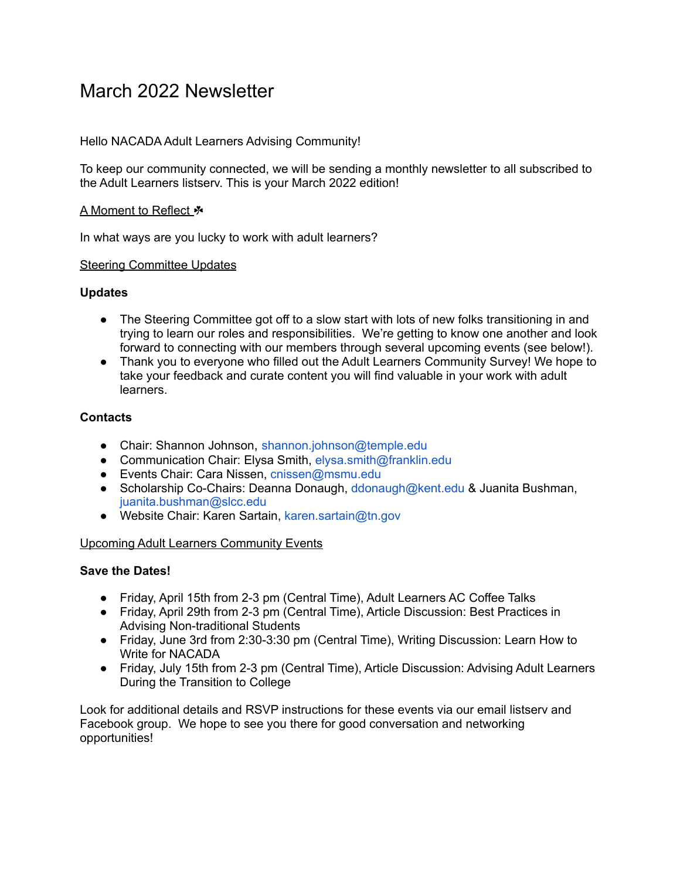# March 2022 Newsletter

# Hello NACADA Adult Learners Advising Community!

To keep our community connected, we will be sending a monthly newsletter to all subscribed to the Adult Learners listserv. This is your March 2022 edition!

## A Moment to Reflect ☘

In what ways are you lucky to work with adult learners?

### Steering Committee Updates

### **Updates**

- The Steering Committee got off to a slow start with lots of new folks transitioning in and trying to learn our roles and responsibilities. We're getting to know one another and look forward to connecting with our members through several upcoming events (see below!).
- Thank you to everyone who filled out the Adult Learners Community Survey! We hope to take your feedback and curate content you will find valuable in your work with adult learners.

### **Contacts**

- Chair: Shannon Johnson, shannon.johnson@temple.edu
- Communication Chair: Elysa Smith, elysa.smith@franklin.edu
- Events Chair: Cara Nissen, cnissen@msmu.edu
- Scholarship Co-Chairs: Deanna Donaugh, ddonaugh@kent.edu & Juanita Bushman, juanita.bushman@slcc.edu
- Website Chair: Karen Sartain, karen.sartain@tn.gov

### Upcoming Adult Learners Community Events

## **Save the Dates!**

- Friday, April 15th from 2-3 pm (Central Time), Adult Learners AC Coffee Talks
- Friday, April 29th from 2-3 pm (Central Time), Article Discussion: Best Practices in Advising Non-traditional Students
- Friday, June 3rd from 2:30-3:30 pm (Central Time), Writing Discussion: Learn How to Write for NACADA
- Friday, July 15th from 2-3 pm (Central Time), Article Discussion: Advising Adult Learners During the Transition to College

Look for additional details and RSVP instructions for these events via our email listserv and Facebook group. We hope to see you there for good conversation and networking opportunities!